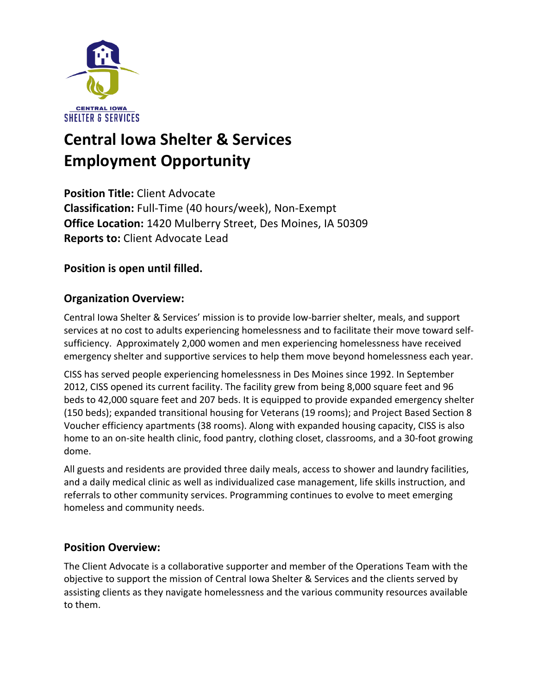

# **Central Iowa Shelter & Services Employment Opportunity**

**Position Title:** Client Advocate **Classification:** Full-Time (40 hours/week), Non-Exempt **Office Location:** 1420 Mulberry Street, Des Moines, IA 50309 **Reports to:** Client Advocate Lead

**Position is open until filled.** 

# **Organization Overview:**

Central Iowa Shelter & Services' mission is to provide low-barrier shelter, meals, and support services at no cost to adults experiencing homelessness and to facilitate their move toward selfsufficiency. Approximately 2,000 women and men experiencing homelessness have received emergency shelter and supportive services to help them move beyond homelessness each year.

CISS has served people experiencing homelessness in Des Moines since 1992. In September 2012, CISS opened its current facility. The facility grew from being 8,000 square feet and 96 beds to 42,000 square feet and 207 beds. It is equipped to provide expanded emergency shelter (150 beds); expanded transitional housing for Veterans (19 rooms); and Project Based Section 8 Voucher efficiency apartments (38 rooms). Along with expanded housing capacity, CISS is also home to an on-site health clinic, food pantry, clothing closet, classrooms, and a 30-foot growing dome.

All guests and residents are provided three daily meals, access to shower and laundry facilities, and a daily medical clinic as well as individualized case management, life skills instruction, and referrals to other community services. Programming continues to evolve to meet emerging homeless and community needs.

## **Position Overview:**

The Client Advocate is a collaborative supporter and member of the Operations Team with the objective to support the mission of Central Iowa Shelter & Services and the clients served by assisting clients as they navigate homelessness and the various community resources available to them.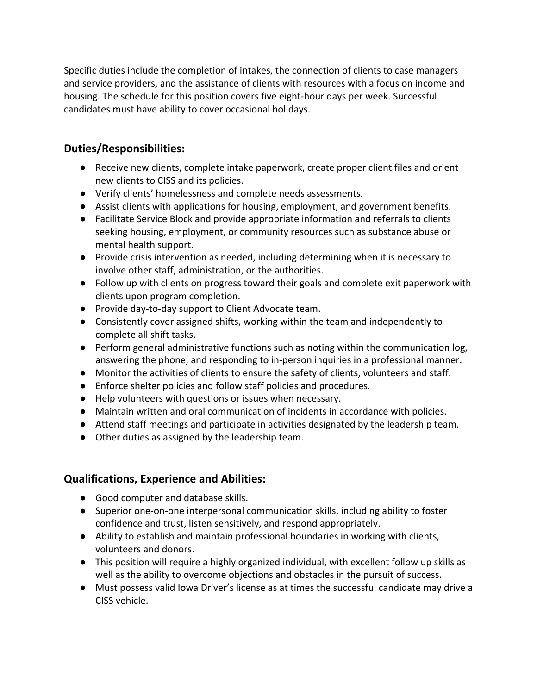Specific duties include the completion of intakes, the connection of clients to case managers and service providers, and the assistance of clients with resources with a focus on income and housing. The schedule for this position covers five eight-hour days per week. Successful candidates must have ability to cover occasional holidays.

#### **Duties/Responsibilities:**

- Receive new clients, complete intake paperwork, create proper client files and orient new clients to CISS and its policies.
- Verify clients' homelessness and complete needs assessments.
- Assist clients with applications for housing, employment, and government benefits.
- Facilitate Service Block and provide appropriate information and referrals to clients seeking housing, employment, or community resources such as substance abuse or mental health support.
- Provide crisis intervention as needed, including determining when it is necessary to involve other staff, administration, or the authorities.
- Follow up with clients on progress toward their goals and complete exit paperwork with clients upon program completion.
- Provide day-to-day support to Client Advocate team.
- Consistently cover assigned shifts, working within the team and independently to complete all shift tasks.
- Perform general administrative functions such as noting within the communication log, answering the phone, and responding to in-person inquiries in a professional manner.
- Monitor the activities of clients to ensure the safety of clients, volunteers and staff.
- Enforce shelter policies and follow staff policies and procedures.
- Help volunteers with questions or issues when necessary.
- Maintain written and oral communication of incidents in accordance with policies.
- Attend staff meetings and participate in activities designated by the leadership team.
- Other duties as assigned by the leadership team.

## **Qualifications, Experience and Abilities:**

- Good computer and database skills.
- Superior one-on-one interpersonal communication skills, including ability to foster confidence and trust, listen sensitively, and respond appropriately.
- Ability to establish and maintain professional boundaries in working with clients, volunteers and donors.
- This position will require a highly organized individual, with excellent follow up skills as well as the ability to overcome objections and obstacles in the pursuit of success.
- Must possess valid Iowa Driver's license as at times the successful candidate may drive a CISS vehicle.